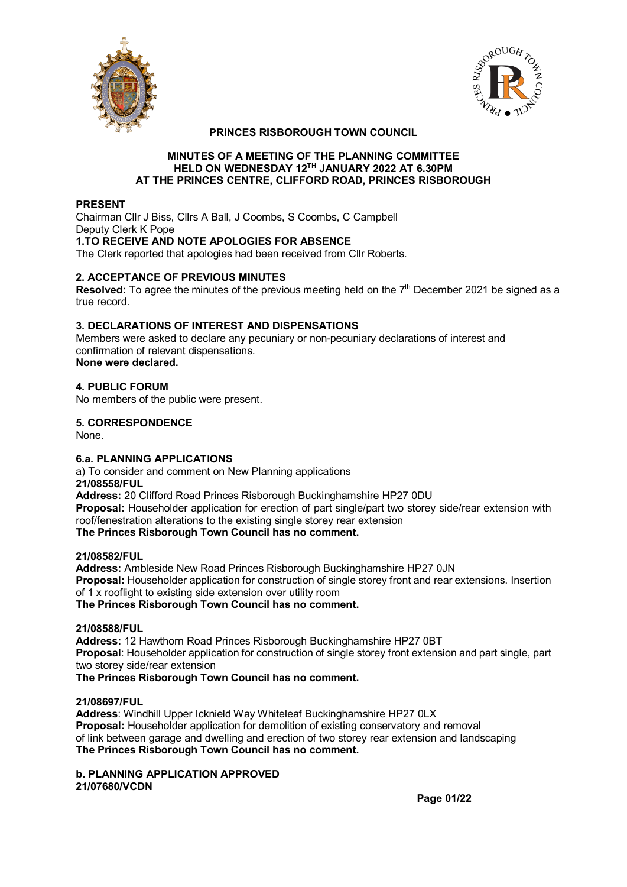



# **PRINCES RISBOROUGH TOWN COUNCIL**

#### **MINUTES OF A MEETING OF THE PLANNING COMMITTEE HELD ON WEDNESDAY 12TH JANUARY 2022 AT 6.30PM AT THE PRINCES CENTRE, CLIFFORD ROAD, PRINCES RISBOROUGH**

#### **PRESENT**

Chairman Cllr J Biss, Cllrs A Ball, J Coombs, S Coombs, C Campbell Deputy Clerk K Pope **1.TO RECEIVE AND NOTE APOLOGIES FOR ABSENCE** The Clerk reported that apologies had been received from Cllr Roberts.

# **2. ACCEPTANCE OF PREVIOUS MINUTES**

**Resolved:** To agree the minutes of the previous meeting held on the 7<sup>th</sup> December 2021 be signed as a true record.

#### **3. DECLARATIONS OF INTEREST AND DISPENSATIONS**

Members were asked to declare any pecuniary or non-pecuniary declarations of interest and confirmation of relevant dispensations. **None were declared.**

# **4. PUBLIC FORUM**

No members of the public were present.

# **5. CORRESPONDENCE**

None.

# **6.a. PLANNING APPLICATIONS**

a) To consider and comment on New Planning applications **21/08558/FUL Address:** 20 Clifford Road Princes Risborough Buckinghamshire HP27 0DU **Proposal:** Householder application for erection of part single/part two storey side/rear extension with roof/fenestration alterations to the existing single storey rear extension **The Princes Risborough Town Council has no comment.**

#### **21/08582/FUL**

**Address:** Ambleside New Road Princes Risborough Buckinghamshire HP27 0JN **Proposal:** Householder application for construction of single storey front and rear extensions. Insertion of 1 x rooflight to existing side extension over utility room **The Princes Risborough Town Council has no comment.**

#### **21/08588/FUL**

**Address:** 12 Hawthorn Road Princes Risborough Buckinghamshire HP27 0BT **Proposal**: Householder application for construction of single storey front extension and part single, part two storey side/rear extension

**The Princes Risborough Town Council has no comment.**

#### **21/08697/FUL**

**Address**: Windhill Upper Icknield Way Whiteleaf Buckinghamshire HP27 0LX **Proposal:** Householder application for demolition of existing conservatory and removal of link between garage and dwelling and erection of two storey rear extension and landscaping **The Princes Risborough Town Council has no comment.**

**b. PLANNING APPLICATION APPROVED 21/07680/VCDN**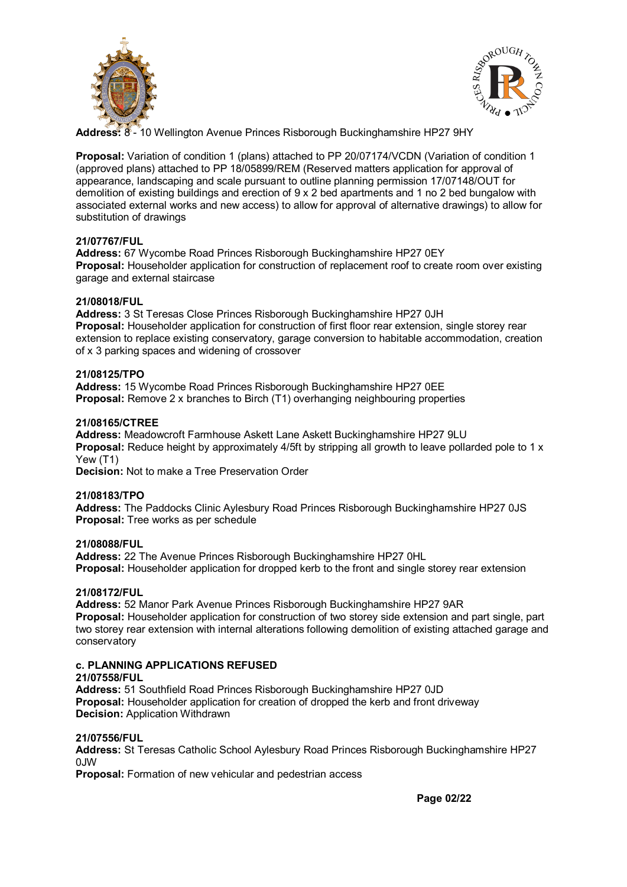



**Address:** 8 - 10 Wellington Avenue Princes Risborough Buckinghamshire HP27 9HY

**Proposal:** Variation of condition 1 (plans) attached to PP 20/07174/VCDN (Variation of condition 1 (approved plans) attached to PP 18/05899/REM (Reserved matters application for approval of appearance, landscaping and scale pursuant to outline planning permission 17/07148/OUT for demolition of existing buildings and erection of 9 x 2 bed apartments and 1 no 2 bed bungalow with associated external works and new access) to allow for approval of alternative drawings) to allow for substitution of drawings

#### **21/07767/FUL**

**Address:** 67 Wycombe Road Princes Risborough Buckinghamshire HP27 0EY **Proposal:** Householder application for construction of replacement roof to create room over existing garage and external staircase

#### **21/08018/FUL**

**Address:** 3 St Teresas Close Princes Risborough Buckinghamshire HP27 0JH **Proposal:** Householder application for construction of first floor rear extension, single storey rear extension to replace existing conservatory, garage conversion to habitable accommodation, creation of x 3 parking spaces and widening of crossover

#### **21/08125/TPO**

**Address:** 15 Wycombe Road Princes Risborough Buckinghamshire HP27 0EE **Proposal:** Remove 2 x branches to Birch (T1) overhanging neighbouring properties

#### **21/08165/CTREE**

**Address:** Meadowcroft Farmhouse Askett Lane Askett Buckinghamshire HP27 9LU **Proposal:** Reduce height by approximately 4/5ft by stripping all growth to leave pollarded pole to 1 x Yew (T1)

**Decision:** Not to make a Tree Preservation Order

#### **21/08183/TPO**

**Address:** The Paddocks Clinic Aylesbury Road Princes Risborough Buckinghamshire HP27 0JS **Proposal:** Tree works as per schedule

#### **21/08088/FUL**

**Address:** 22 The Avenue Princes Risborough Buckinghamshire HP27 0HL **Proposal:** Householder application for dropped kerb to the front and single storey rear extension

#### **21/08172/FUL**

**Address:** 52 Manor Park Avenue Princes Risborough Buckinghamshire HP27 9AR **Proposal:** Householder application for construction of two storey side extension and part single, part two storey rear extension with internal alterations following demolition of existing attached garage and conservatory

#### **c. PLANNING APPLICATIONS REFUSED**

#### **21/07558/FUL**

**Address:** 51 Southfield Road Princes Risborough Buckinghamshire HP27 0JD **Proposal:** Householder application for creation of dropped the kerb and front driveway **Decision:** Application Withdrawn

#### **21/07556/FUL**

**Address:** St Teresas Catholic School Aylesbury Road Princes Risborough Buckinghamshire HP27 0JW

**Proposal:** Formation of new vehicular and pedestrian access